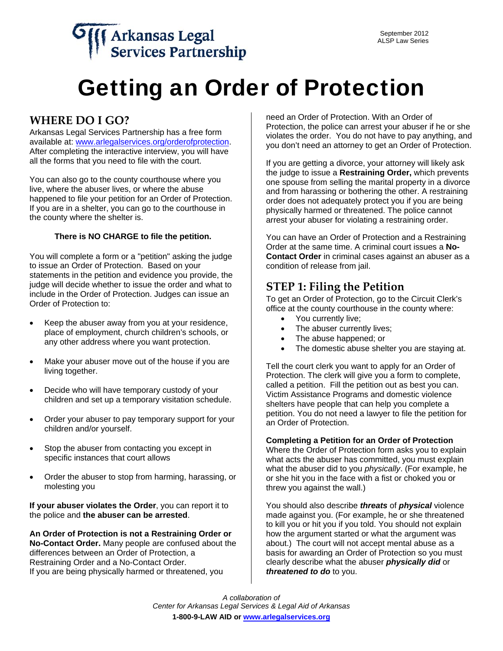# Getting an Order of Protection

### **WHERE DO I GO?**

Arkansas Legal Services Partnership has a free form available at: [www.arlegalservices.org/orderofprotection.](http://www.arlegalservices.org/orderofprotection) After completing the interactive interview, you will have all the forms that you need to file with the court.

You can also go to the county courthouse where you live, where the abuser lives, or where the abuse happened to file your petition for an Order of Protection. If you are in a shelter, you can go to the courthouse in the county where the shelter is.

#### **There is NO CHARGE to file the petition.**

You will complete a form or a "petition" asking the judge to issue an Order of Protection. Based on your statements in the petition and evidence you provide, the judge will decide whether to issue the order and what to include in the Order of Protection. Judges can issue an Order of Protection to:

- Keep the abuser away from you at your residence, place of employment, church children's schools, or any other address where you want protection.
- Make your abuser move out of the house if you are living together.
- Decide who will have temporary custody of your children and set up a temporary visitation schedule.
- Order your abuser to pay temporary support for your children and/or yourself.
- Stop the abuser from contacting you except in specific instances that court allows
- Order the abuser to stop from harming, harassing, or molesting you

**If your abuser violates the Order**, you can report it to the police and **the abuser can be arrested**.

**An Order of Protection is not a Restraining Order or No-Contact Order.** Many people are confused about the differences between an Order of Protection, a Restraining Order and a No-Contact Order. If you are being physically harmed or threatened, you

need an Order of Protection. With an Order of Protection, the police can arrest your abuser if he or she violates the order. You do not have to pay anything, and you don't need an attorney to get an Order of Protection.

If you are getting a divorce, your attorney will likely ask the judge to issue a **Restraining Order,** which prevents one spouse from selling the marital property in a divorce and from harassing or bothering the other. A restraining order does not adequately protect you if you are being physically harmed or threatened. The police cannot arrest your abuser for violating a restraining order.

You can have an Order of Protection and a Restraining Order at the same time. A criminal court issues a **No-Contact Order** in criminal cases against an abuser as a condition of release from jail.

#### **STEP 1: Filing the Petition**

To get an Order of Protection, go to the Circuit Clerk's office at the county courthouse in the county where:

- You currently live;
- The abuser currently lives;
- The abuse happened; or
- The domestic abuse shelter you are staying at.

Tell the court clerk you want to apply for an Order of Protection. The clerk will give you a form to complete, called a petition. Fill the petition out as best you can. Victim Assistance Programs and domestic violence shelters have people that can help you complete a petition. You do not need a lawyer to file the petition for an Order of Protection.

#### **Completing a Petition for an Order of Protection**

Where the Order of Protection form asks you to explain what acts the abuser has committed, you must explain what the abuser did to you *physically*. (For example, he or she hit you in the face with a fist or choked you or threw you against the wall.)

You should also describe *threats* of *physical* violence made against you. (For example, he or she threatened to kill you or hit you if you told. You should not explain how the argument started or what the argument was about.) The court will not accept mental abuse as a basis for awarding an Order of Protection so you must clearly describe what the abuser *physically did* or *threatened to do* to you.

*A collaboration of Center for Arkansas Legal Services & Legal Aid of Arkansas*  **1-800-9-LAW AID or www.arlegalservices.org**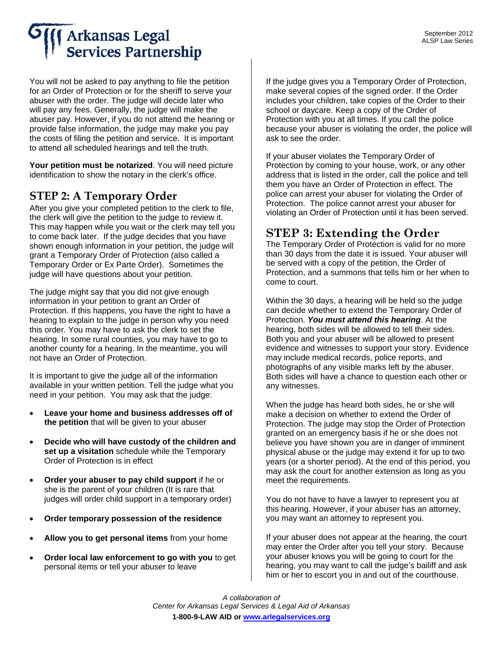## **Arkansas Legal Services Partnership**

You will not be asked to pay anything to file the petition for an Order of Protection or for the sheriff to serve your abuser with the order. The judge will decide later who will pay any fees. Generally, the judge will make the abuser pay. However, if you do not attend the hearing or provide false information, the judge may make you pay the costs of filing the petition and service. It is important to attend all scheduled hearings and tell the truth.

**Your petition must be notarized**. You will need picture identification to show the notary in the clerk's office.

### **STEP 2: A Temporary Order**

After you give your completed petition to the clerk to file, the clerk will give the petition to the judge to review it. This may happen while you wait or the clerk may tell you to come back later. If the judge decides that you have shown enough information in your petition, the judge will grant a Temporary Order of Protection (also called a Temporary Order or Ex Parte Order). Sometimes the judge will have questions about your petition.

The judge might say that you did not give enough information in your petition to grant an Order of Protection. If this happens, you have the right to have a hearing to explain to the judge in person why you need this order. You may have to ask the clerk to set the hearing. In some rural counties, you may have to go to another county for a hearing. In the meantime, you will not have an Order of Protection.

It is important to give the judge all of the information available in your written petition. Tell the judge what you need in your petition. You may ask that the judge:

- **Leave your home and business addresses off of the petition** that will be given to your abuser
- **Decide who will have custody of the children and set up a visitation** schedule while the Temporary Order of Protection is in effect
- **Order your abuser to pay child support** if he or she is the parent of your children (It is rare that judges will order child support in a temporary order)
- **Order temporary possession of the residence**
- **Allow you to get personal items** from your home
- **Order local law enforcement to go with you** to get personal items or tell your abuser to leave

If the judge gives you a Temporary Order of Protection, make several copies of the signed order. If the Order includes your children, take copies of the Order to their school or daycare. Keep a copy of the Order of Protection with you at all times. If you call the police because your abuser is violating the order, the police will ask to see the order.

If your abuser violates the Temporary Order of Protection by coming to your house, work, or any other address that is listed in the order, call the police and tell them you have an Order of Protection in effect. The police can arrest your abuser for violating the Order of Protection. The police cannot arrest your abuser for violating an Order of Protection until it has been served.

### **STEP 3: Extending the Order**

The Temporary Order of Protection is valid for no more than 30 days from the date it is issued. Your abuser will be served with a copy of the petition, the Order of Protection, and a summons that tells him or her when to come to court.

Within the 30 days, a hearing will be held so the judge can decide whether to extend the Temporary Order of Protection. *You must attend this hearing*. At the hearing, both sides will be allowed to tell their sides. Both you and your abuser will be allowed to present evidence and witnesses to support your story. Evidence may include medical records, police reports, and photographs of any visible marks left by the abuser. Both sides will have a chance to question each other or any witnesses.

When the judge has heard both sides, he or she will make a decision on whether to extend the Order of Protection. The judge may stop the Order of Protection granted on an emergency basis if he or she does not believe you have shown you are in danger of imminent physical abuse or the judge may extend it for up to two years (or a shorter period). At the end of this period, you may ask the court for another extension as long as you meet the requirements.

You do not have to have a lawyer to represent you at this hearing. However, if your abuser has an attorney, you may want an attorney to represent you.

If your abuser does not appear at the hearing, the court may enter the Order after you tell your story. Because your abuser knows you will be going to court for the hearing, you may want to call the judge's bailiff and ask him or her to escort you in and out of the courthouse.

*A collaboration of Center for Arkansas Legal Services & Legal Aid of Arkansas*  **1-800-9-LAW AID or www.arlegalservices.org**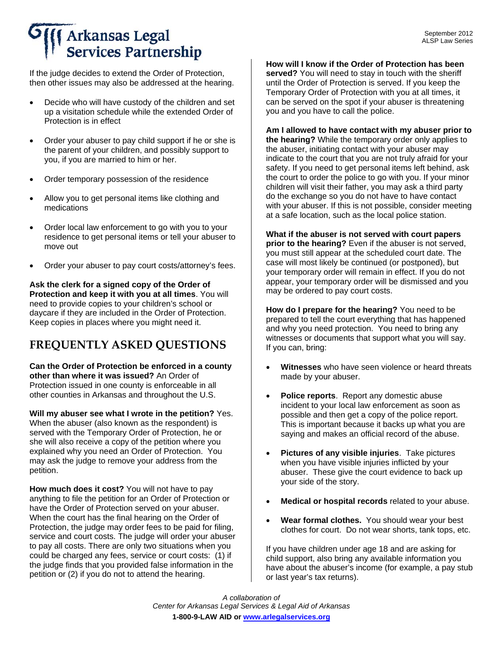## **Arkansas Legal Services Partnership**

If the judge decides to extend the Order of Protection, then other issues may also be addressed at the hearing.

- Decide who will have custody of the children and set up a visitation schedule while the extended Order of Protection is in effect
- Order your abuser to pay child support if he or she is the parent of your children, and possibly support to you, if you are married to him or her.
- Order temporary possession of the residence
- Allow you to get personal items like clothing and medications
- Order local law enforcement to go with you to your residence to get personal items or tell your abuser to move out
- Order your abuser to pay court costs/attorney's fees.

**Ask the clerk for a signed copy of the Order of Protection and keep it with you at all times**. You will need to provide copies to your children's school or daycare if they are included in the Order of Protection. Keep copies in places where you might need it.

## **FREQUENTLY ASKED QUESTIONS**

**Can the Order of Protection be enforced in a county other than where it was issued?** An Order of Protection issued in one county is enforceable in all other counties in Arkansas and throughout the U.S.

**Will my abuser see what I wrote in the petition?** Yes. When the abuser (also known as the respondent) is served with the Temporary Order of Protection, he or she will also receive a copy of the petition where you explained why you need an Order of Protection. You may ask the judge to remove your address from the petition.

**How much does it cost?** You will not have to pay anything to file the petition for an Order of Protection or have the Order of Protection served on your abuser. When the court has the final hearing on the Order of Protection, the judge may order fees to be paid for filing, service and court costs. The judge will order your abuser to pay all costs. There are only two situations when you could be charged any fees, service or court costs: (1) if the judge finds that you provided false information in the petition or (2) if you do not to attend the hearing.

**How will I know if the Order of Protection has been served?** You will need to stay in touch with the sheriff until the Order of Protection is served. If you keep the Temporary Order of Protection with you at all times, it can be served on the spot if your abuser is threatening you and you have to call the police.

**Am I allowed to have contact with my abuser prior to the hearing?** While the temporary order only applies to the abuser, initiating contact with your abuser may indicate to the court that you are not truly afraid for your safety. If you need to get personal items left behind, ask the court to order the police to go with you. If your minor children will visit their father, you may ask a third party do the exchange so you do not have to have contact with your abuser. If this is not possible, consider meeting at a safe location, such as the local police station.

**What if the abuser is not served with court papers prior to the hearing?** Even if the abuser is not served, you must still appear at the scheduled court date. The case will most likely be continued (or postponed), but your temporary order will remain in effect. If you do not appear, your temporary order will be dismissed and you may be ordered to pay court costs.

**How do I prepare for the hearing?** You need to be prepared to tell the court everything that has happened and why you need protection. You need to bring any witnesses or documents that support what you will say. If you can, bring:

- **Witnesses** who have seen violence or heard threats made by your abuser.
- **Police reports**. Report any domestic abuse incident to your local law enforcement as soon as possible and then get a copy of the police report. This is important because it backs up what you are saying and makes an official record of the abuse.
- **Pictures of any visible injuries**. Take pictures when you have visible injuries inflicted by your abuser. These give the court evidence to back up your side of the story.
- **Medical or hospital records** related to your abuse.
- Wear formal clothes. You should wear your best clothes for court. Do not wear shorts, tank tops, etc.

If you have children under age 18 and are asking for child support, also bring any available information you have about the abuser's income (for example, a pay stub or last year's tax returns).

*A collaboration of Center for Arkansas Legal Services & Legal Aid of Arkansas*  **1-800-9-LAW AID or www.arlegalservices.org**